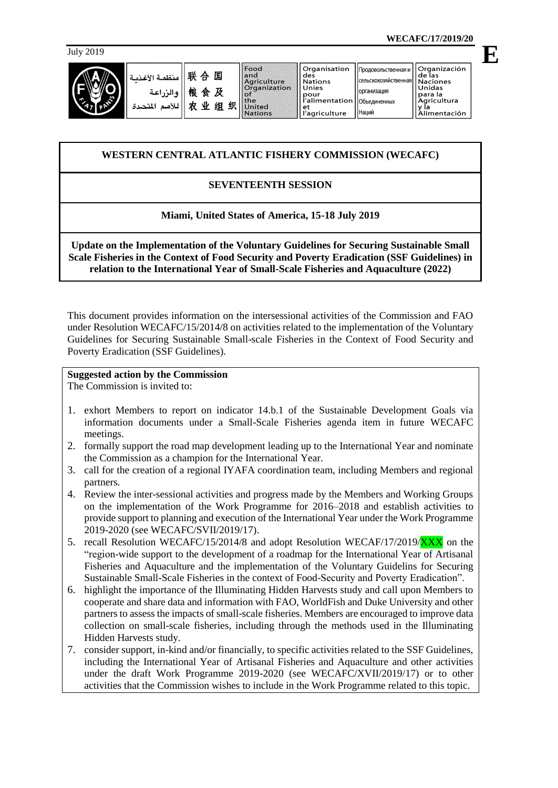حدة

| ANE<br>4<br>7<br>p |
|--------------------|
|--------------------|

| 联合国<br>.<br>Yl ä<br>منظم<br>.<br>· • الزراعة<br>  粮食及<br>农业组织<br>ں بہ<br>بلامم المذ | Food<br>and<br>Agriculture<br>Organization<br>the<br><b>United</b><br><b>Nations</b> |
|-------------------------------------------------------------------------------------|--------------------------------------------------------------------------------------|
|-------------------------------------------------------------------------------------|--------------------------------------------------------------------------------------|

**WECAFC/17/2019/20**

July <sup>2019</sup> **E** ۔<br>ماہ ues<br>Nations .<br>Сельскохозяйственна: Unies организация para la<br>Agricultura<br>Y la pour İ'alimentation **Объединенных** y la<br>Alimentación .<br>'agriculture Наций

# **WESTERN CENTRAL ATLANTIC FISHERY COMMISSION (WECAFC)**

## **SEVENTEENTH SESSION**

## **Miami, United States of America, 15-18 July 2019**

**Update on the Implementation of the Voluntary Guidelines for Securing Sustainable Small Scale Fisheries in the Context of Food Security and Poverty Eradication (SSF Guidelines) in relation to the International Year of Small-Scale Fisheries and Aquaculture (2022)** 

This document provides information on the intersessional activities of the Commission and FAO under Resolution WECAFC/15/2014/8 on activities related to the implementation of the Voluntary Guidelines for Securing Sustainable Small-scale Fisheries in the Context of Food Security and Poverty Eradication (SSF Guidelines).

#### **Suggested action by the Commission**

The Commission is invited to:

- 1. exhort Members to report on indicator 14.b.1 of the Sustainable Development Goals via information documents under a Small-Scale Fisheries agenda item in future WECAFC meetings.
- 2. formally support the road map development leading up to the International Year and nominate the Commission as a champion for the International Year.
- 3. call for the creation of a regional IYAFA coordination team, including Members and regional partners.
- 4. Review the inter-sessional activities and progress made by the Members and Working Groups on the implementation of the Work Programme for 2016–2018 and establish activities to provide support to planning and execution of the International Year under the Work Programme 2019-2020 (see WECAFC/SVII/2019/17).
- 5. recall Resolution WECAFC/15/2014/8 and adopt Resolution WECAF/17/2019/XXX on the "region-wide support to the development of a roadmap for the International Year of Artisanal Fisheries and Aquaculture and the implementation of the Voluntary Guidelins for Securing Sustainable Small-Scale Fisheries in the context of Food-Security and Poverty Eradication".
- 6. highlight the importance of the Illuminating Hidden Harvests study and call upon Members to cooperate and share data and information with FAO, WorldFish and Duke University and other partners to assess the impacts of small-scale fisheries. Members are encouraged to improve data collection on small-scale fisheries, including through the methods used in the Illuminating Hidden Harvests study.
- 7. consider support, in-kind and/or financially, to specific activities related to the SSF Guidelines, including the International Year of Artisanal Fisheries and Aquaculture and other activities under the draft Work Programme 2019-2020 (see WECAFC/XVII/2019/17) or to other activities that the Commission wishes to include in the Work Programme related to this topic.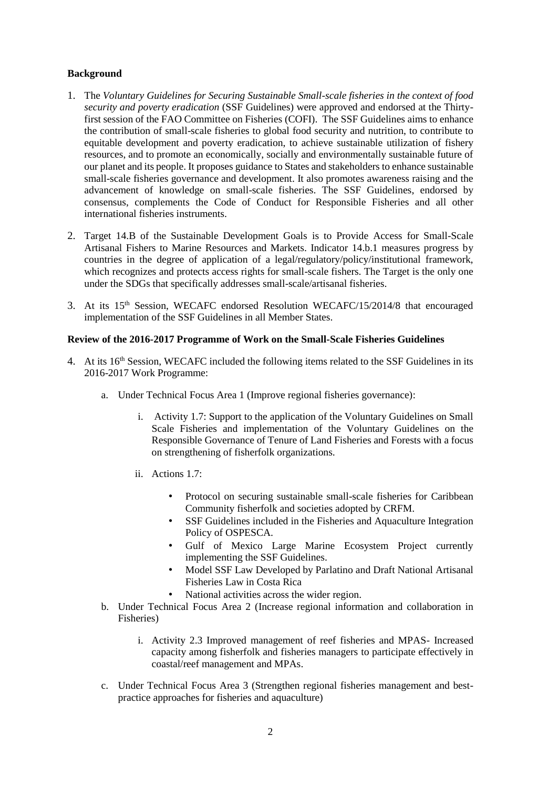## **Background**

- 1. The *Voluntary Guidelines for Securing Sustainable Small-scale fisheries in the context of food security and poverty eradication* (SSF Guidelines) were approved and endorsed at the Thirtyfirst session of the FAO Committee on Fisheries (COFI). The SSF Guidelines aims to enhance the contribution of small-scale fisheries to global food security and nutrition, to contribute to equitable development and poverty eradication, to achieve sustainable utilization of fishery resources, and to promote an economically, socially and environmentally sustainable future of our planet and its people. It proposes guidance to States and stakeholders to enhance sustainable small-scale fisheries governance and development. It also promotes awareness raising and the advancement of knowledge on small-scale fisheries. The SSF Guidelines, endorsed by consensus, complements the Code of Conduct for Responsible Fisheries and all other international fisheries instruments.
- 2. Target 14.B of the Sustainable Development Goals is to Provide Access for Small-Scale Artisanal Fishers to Marine Resources and Markets. Indicator 14.b.1 measures progress by countries in the degree of application of a legal/regulatory/policy/institutional framework, which recognizes and protects access rights for small-scale fishers. The Target is the only one under the SDGs that specifically addresses small-scale/artisanal fisheries.
- 3. At its 15th Session, WECAFC endorsed Resolution WECAFC/15/2014/8 that encouraged implementation of the SSF Guidelines in all Member States.

#### **Review of the 2016-2017 Programme of Work on the Small-Scale Fisheries Guidelines**

- 4. At its 16<sup>th</sup> Session, WECAFC included the following items related to the SSF Guidelines in its 2016-2017 Work Programme:
	- a. Under Technical Focus Area 1 (Improve regional fisheries governance):
		- i. Activity 1.7: Support to the application of the Voluntary Guidelines on Small Scale Fisheries and implementation of the Voluntary Guidelines on the Responsible Governance of Tenure of Land Fisheries and Forests with a focus on strengthening of fisherfolk organizations.
		- ii. Actions 1.7:
			- Protocol on securing sustainable small-scale fisheries for Caribbean Community fisherfolk and societies adopted by CRFM.
			- SSF Guidelines included in the Fisheries and Aquaculture Integration Policy of OSPESCA.
			- Gulf of Mexico Large Marine Ecosystem Project currently implementing the SSF Guidelines.
			- Model SSF Law Developed by Parlatino and Draft National Artisanal Fisheries Law in Costa Rica
			- National activities across the wider region.
	- b. Under Technical Focus Area 2 (Increase regional information and collaboration in Fisheries)
		- i. Activity 2.3 Improved management of reef fisheries and MPAS- Increased capacity among fisherfolk and fisheries managers to participate effectively in coastal/reef management and MPAs.
	- c. Under Technical Focus Area 3 (Strengthen regional fisheries management and bestpractice approaches for fisheries and aquaculture)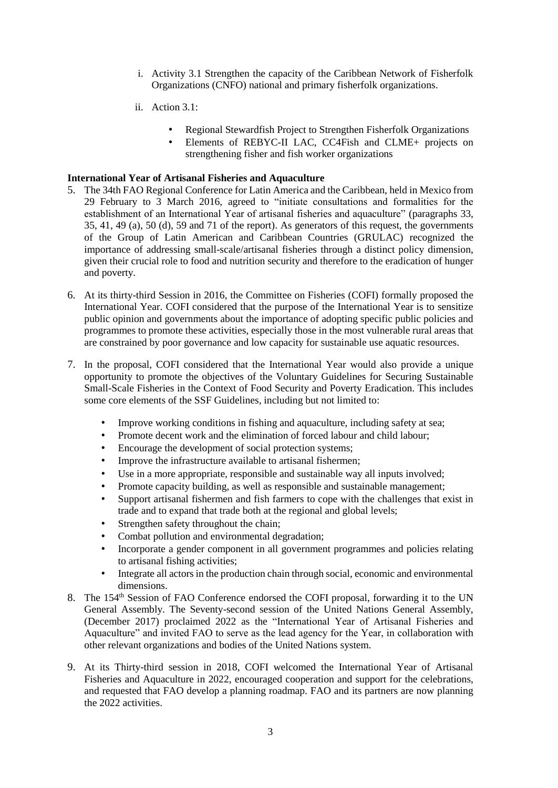- i. Activity 3.1 Strengthen the capacity of the Caribbean Network of Fisherfolk Organizations (CNFO) national and primary fisherfolk organizations.
- ii. Action 3.1:
	- Regional Stewardfish Project to Strengthen Fisherfolk Organizations
	- Elements of REBYC-II LAC, CC4Fish and CLME+ projects on strengthening fisher and fish worker organizations

#### **International Year of Artisanal Fisheries and Aquaculture**

- 5. The 34th FAO Regional Conference for Latin America and the Caribbean, held in Mexico from 29 February to 3 March 2016, agreed to "initiate consultations and formalities for the establishment of an International Year of artisanal fisheries and aquaculture" (paragraphs 33, 35, 41, 49 (a), 50 (d), 59 and 71 of the report). As generators of this request, the governments of the Group of Latin American and Caribbean Countries (GRULAC) recognized the importance of addressing small-scale/artisanal fisheries through a distinct policy dimension, given their crucial role to food and nutrition security and therefore to the eradication of hunger and poverty.
- 6. At its thirty-third Session in 2016, the Committee on Fisheries (COFI) formally proposed the International Year. COFI considered that the purpose of the International Year is to sensitize public opinion and governments about the importance of adopting specific public policies and programmes to promote these activities, especially those in the most vulnerable rural areas that are constrained by poor governance and low capacity for sustainable use aquatic resources.
- 7. In the proposal, COFI considered that the International Year would also provide a unique opportunity to promote the objectives of the Voluntary Guidelines for Securing Sustainable Small-Scale Fisheries in the Context of Food Security and Poverty Eradication. This includes some core elements of the SSF Guidelines, including but not limited to:
	- Improve working conditions in fishing and aquaculture, including safety at sea;
	- Promote decent work and the elimination of forced labour and child labour;
	- Encourage the development of social protection systems;
	- Improve the infrastructure available to artisanal fishermen;
	- Use in a more appropriate, responsible and sustainable way all inputs involved;
	- Promote capacity building, as well as responsible and sustainable management;
	- Support artisanal fishermen and fish farmers to cope with the challenges that exist in trade and to expand that trade both at the regional and global levels;
	- Strengthen safety throughout the chain;
	- Combat pollution and environmental degradation;
	- Incorporate a gender component in all government programmes and policies relating to artisanal fishing activities;
	- Integrate all actors in the production chain through social, economic and environmental dimensions.
- 8. The 154<sup>th</sup> Session of FAO Conference endorsed the COFI proposal, forwarding it to the UN General Assembly. The Seventy-second session of the United Nations General Assembly, (December 2017) proclaimed 2022 as the "International Year of Artisanal Fisheries and Aquaculture" and invited FAO to serve as the lead agency for the Year, in collaboration with other relevant organizations and bodies of the United Nations system.
- 9. At its Thirty-third session in 2018, COFI welcomed the International Year of Artisanal Fisheries and Aquaculture in 2022, encouraged cooperation and support for the celebrations, and requested that FAO develop a planning roadmap. FAO and its partners are now planning the 2022 activities.